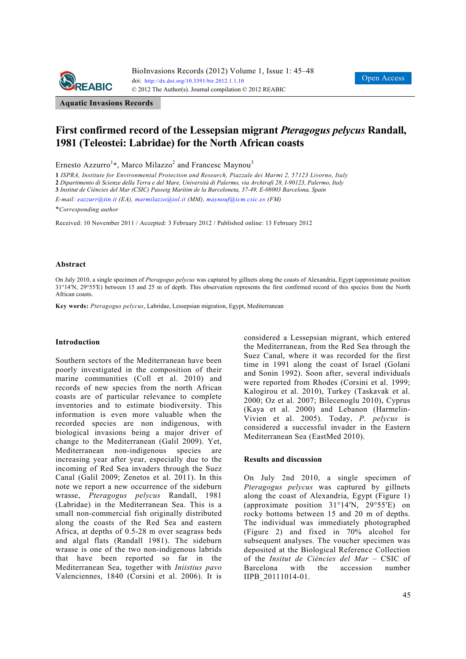

**Aquatic Invasions Records** 

# **First confirmed record of the Lessepsian migrant** *Pteragogus pelycus* **Randall, 1981 (Teleostei: Labridae) for the North African coasts**

Ernesto Azzurro<sup>1</sup>\*, Marco Milazzo<sup>2</sup> and Francesc Maynou<sup>3</sup>

**1** *ISPRA, Institute for Environmental Protection and Research, Piazzale dei Marmi 2, 57123 Livorno, Italy*  **2** *Dipartimento di Scienze della Terra e del Mare, Università di Palermo, via Archirafi 28, I-90123, Palermo, Italy* 

**3** *Institut de Ciències del Mar (CSIC) Passeig Marítim de la Barceloneta, 37-49, E-08003 Barcelona, Spain* 

*E-mail: eazzurr@tin.it (EA), marmilazzo@iol.it (MM), maynouf@icm.csic.es (FM)*

\**Corresponding author* 

Received: 10 November 2011 / Accepted: 3 February 2012 / Published online: 13 February 2012

#### **Abstract**

On July 2010, a single specimen of *Pteragogus pelycus* was captured by gillnets along the coasts of Alexandria, Egypt (approximate position 31°14′N, 29°55′E) between 15 and 25 m of depth. This observation represents the first confirmed record of this species from the North African coasts.

**Key words:** *Pteragogus pelycus*, Labridae, Lessepsian migration, Egypt, Mediterranean

### **Introduction**

Southern sectors of the Mediterranean have been poorly investigated in the composition of their marine communities (Coll et al. 2010) and records of new species from the north African coasts are of particular relevance to complete inventories and to estimate biodiversity. This information is even more valuable when the recorded species are non indigenous, with biological invasions being a major driver of change to the Mediterranean (Galil 2009). Yet, Mediterranean non-indigenous species are increasing year after year, especially due to the incoming of Red Sea invaders through the Suez Canal (Galil 2009; Zenetos et al. 2011). In this note we report a new occurrence of the sideburn wrasse, *Pteragogus pelycus* Randall, 1981 (Labridae) in the Mediterranean Sea. This is a small non-commercial fish originally distributed along the coasts of the Red Sea and eastern Africa, at depths of 0.5-28 m over seagrass beds and algal flats (Randall 1981). The sideburn wrasse is one of the two non-indigenous labrids that have been reported so far in the Mediterranean Sea, together with *Iniistius pavo* Valenciennes, 1840 (Corsini et al. 2006). It is

considered a Lessepsian migrant, which entered the Mediterranean, from the Red Sea through the Suez Canal, where it was recorded for the first time in 1991 along the coast of Israel (Golani and Sonin 1992). Soon after, several individuals were reported from Rhodes (Corsini et al. 1999; Kalogirou et al. 2010), Turkey (Taskavak et al. 2000; Oz et al. 2007; Bilecenoglu 2010), Cyprus (Kaya et al. 2000) and Lebanon (Harmelin-Vivien et al. 2005). Today, *P. pelycus* is considered a successful invader in the Eastern Mediterranean Sea (EastMed 2010).

#### **Results and discussion**

On July 2nd 2010, a single specimen of *Pteragogus pelycus* was captured by gillnets along the coast of Alexandria, Egypt (Figure 1) (approximate position 31°14′N, 29°55′E) on rocky bottoms between 15 and 20 m of depths. The individual was immediately photographed (Figure 2) and fixed in 70% alcohol for subsequent analyses. The voucher specimen was deposited at the Biological Reference Collection of the *Insitut de Ciències del Mar* – CSIC of Barcelona with the accession number IIPB\_20111014-01.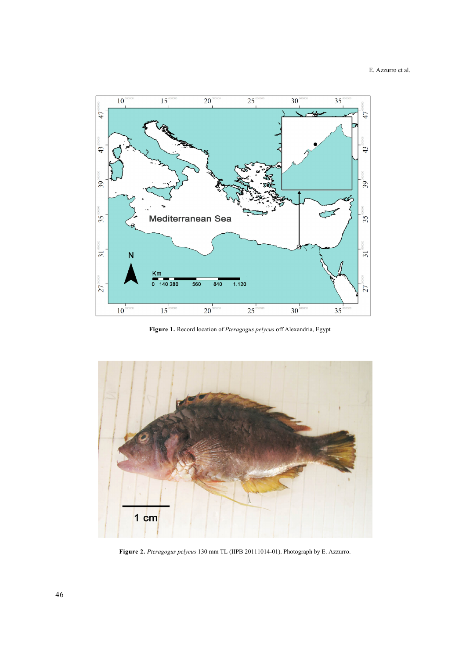

**Figure 1.** Record location of *Pteragogus pelycus* off Alexandria, Egypt



**Figure 2.** *Pteragogus pelycus* 130 mm TL (IIPB 20111014-01). Photograph by E. Azzurro.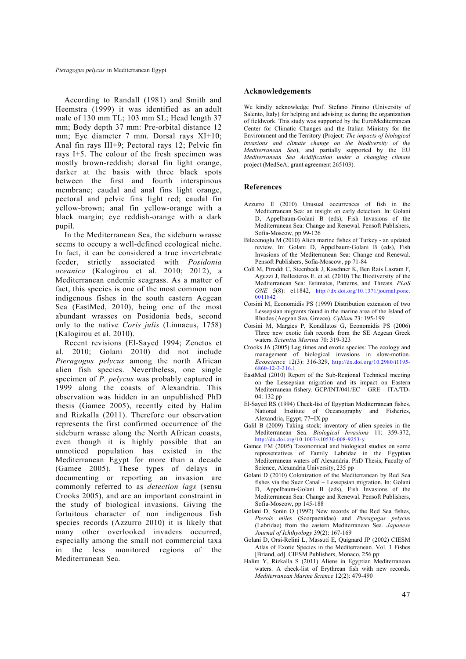According to Randall (1981) and Smith and Heemstra (1999) it was identified as an adult male of 130 mm TL; 103 mm SL; Head length 37 mm; Body depth 37 mm: Pre-orbital distance 12 mm; Eye diameter 7 mm. Dorsal rays XI+10; Anal fin rays III+9; Pectoral rays 12; Pelvic fin rays I+5. The colour of the fresh specimen was mostly brown-reddish; dorsal fin light orange, darker at the basis with three black spots between the first and fourth interspinous membrane; caudal and anal fins light orange, pectoral and pelvic fins light red; caudal fin yellow-brown; anal fin yellow-orange with a black margin; eye reddish-orange with a dark pupil.

In the Mediterranean Sea, the sideburn wrasse seems to occupy a well-defined ecological niche. In fact, it can be considered a true invertebrate feeder, strictly associated with *Posidonia oceanica* (Kalogirou et al. 2010; 2012), a Mediterranean endemic seagrass. As a matter of fact, this species is one of the most common non indigenous fishes in the south eastern Aegean Sea (EastMed, 2010), being one of the most abundant wrasses on Posidonia beds, second only to the native *Coris julis* (Linnaeus, 1758) (Kalogirou et al. 2010).

Recent revisions (El-Sayed 1994; Zenetos et al. 2010; Golani 2010) did not include *Pteragogus pelycus* among the north African alien fish species. Nevertheless, one single specimen of *P. pelycus* was probably captured in 1999 along the coasts of Alexandria. This observation was hidden in an unpublished PhD thesis (Gamee 2005), recently cited by Halim and Rizkalla (2011). Therefore our observation represents the first confirmed occurrence of the sideburn wrasse along the North African coasts, even though it is highly possible that an unnoticed population has existed in the Mediterranean Egypt for more than a decade (Gamee 2005). These types of delays in documenting or reporting an invasion are commonly referred to as *detection lags* (sensu Crooks 2005), and are an important constraint in the study of biological invasions. Giving the fortuitous character of non indigenous fish species records (Azzurro 2010) it is likely that many other overlooked invaders occurred, especially among the small not commercial taxa in the less monitored regions of the Mediterranean Sea.

## **Acknowledgements**

We kindly acknowledge Prof. Stefano Piraino (University of Salento, Italy) for helping and advising us during the organization of fieldwork. This study was supported by the EuroMediterranean Center for Climatic Changes and the Italian Ministry for the Environment and the Territory (Project: *The impacts of biological invasions and climate change on the biodiversity of the Mediterranean Sea*), and partially supported by the EU *Mediterranean Sea Acidification under a changing climate* project (MedSeA; grant agreement 265103).

## **References**

- Azzurro E (2010) Unusual occurrences of fish in the Mediterranean Sea: an insight on early detection. In: Golani D, Appelbaum-Golani B (eds), Fish Invasions of the Mediterranean Sea: Change and Renewal. Pensoft Publishers, Sofia-Moscow, pp 99-126
- Bilecenoglu M (2010) Alien marine fishes of Turkey an updated review. In: Golani D, Appelbaum-Golani B (eds), Fish Invasions of the Mediterranean Sea: Change and Renewal. Pensoft Publishers, Sofia-Moscow, pp 71-84
- Coll M, Piroddi C, Steenbeek J, Kaschner K, Ben Rais Lasram F, Aguzzi J, Ballesteros E. et al. (2010) The Biodiversity of the Mediterranean Sea: Estimates, Patterns, and Threats. *PLoS ONE* 5(8): e11842, http://dx.doi.org/10.1371/journal.pone. 0011842
- Corsini M, Economidis PS (1999) Distribution extension of two Lessepsian migrants found in the marine area of the Island of Rhodes (Aegean Sea, Greece). *Cybium* 23: 195-199
- Corsini M, Margies P, Kondilatos G, Economidis PS (2006) Three new exotic fish records from the SE Aegean Greek waters. *Scientia Marina* 70: 319-323
- Crooks JA (2005) Lag times and exotic species: The ecology and management of biological invasions in slow-motion. *Ecoscience* 12(3): 316-329, http://dx.doi.org/10.2980/i1195- 6860-12-3-316.1
- EastMed (2010) Report of the Sub-Regional Technical meeting on the Lessepsian migration and its impact on Eastern Mediterranean fishery. GCP/INT/041/EC – GRE – ITA/TD-04: 132 pp
- El-Sayed RS (1994) Check-list of Egyptian Mediterranean fishes. National Institute of Oceanography and Fisheries, Alexandria, Egypt, 77+IX pp
- Galil B (2009) Taking stock: inventory of alien species in the Mediterranean Sea. *Biological Invasions* 11: 359-372, http://dx.doi.org/10.1007/s10530-008-9253-y
- Gamee FM (2005) Taxonomical and biological studies on some representatives of Family Labridae in the Egyptian Mediterranean waters off Alexandria. PhD Thesis, Faculty of Science, Alexandria University, 235 pp
- Golani D (2010) Colonization of the Mediterranean by Red Sea fishes via the Suez Canal – Lessepsian migration. In: Golani D, Appelbaum-Golani B (eds), Fish Invasions of the Mediterranean Sea: Change and Renewal. Pensoft Publishers, Sofia-Moscow, pp 145-188
- Golani D, Sonin O (1992) New records of the Red Sea fishes, *Pterois miles* (Scorpaenidae) and *Pteragogus pelycus* (Labridae) from the eastern Mediterranean Sea. *Japanese Journal of Ichthyology* 39(2): 167-169
- Golani D, Orsi-Relini L, Massutí E, Quignard JP (2002) CIESM Atlas of Exotic Species in the Mediterranean. Vol. 1 Fishes [Briand, ed]. CIESM Publishers, Monaco, 256 pp
- Halim Y, Rizkalla S (2011) Aliens in Egyptian Mediterranean waters. A check-list of Erythrean fish with new records. *Mediterranean Marine Science* 12(2): 479-490